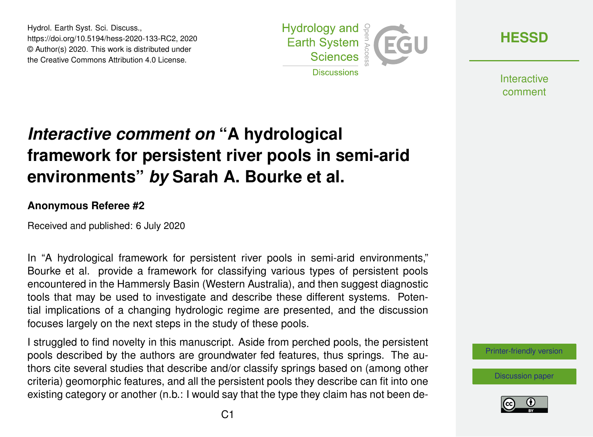Hydrol. Earth Syst. Sci. Discuss., https://doi.org/10.5194/hess-2020-133-RC2, 2020 © Author(s) 2020. This work is distributed under the Creative Commons Attribution 4.0 License.



**[HESSD](https://www.hydrol-earth-syst-sci-discuss.net/)**

**Interactive** comment

## *Interactive comment on* **"A hydrological framework for persistent river pools in semi-arid environments"** *by* **Sarah A. Bourke et al.**

## **Anonymous Referee #2**

Received and published: 6 July 2020

In "A hydrological framework for persistent river pools in semi-arid environments," Bourke et al. provide a framework for classifying various types of persistent pools encountered in the Hammersly Basin (Western Australia), and then suggest diagnostic tools that may be used to investigate and describe these different systems. Potential implications of a changing hydrologic regime are presented, and the discussion focuses largely on the next steps in the study of these pools.

I struggled to find novelty in this manuscript. Aside from perched pools, the persistent pools described by the authors are groundwater fed features, thus springs. The authors cite several studies that describe and/or classify springs based on (among other criteria) geomorphic features, and all the persistent pools they describe can fit into one existing category or another (n.b.: I would say that the type they claim has not been de-

[Printer-friendly version](https://www.hydrol-earth-syst-sci-discuss.net/hess-2020-133/hess-2020-133-RC2-print.pdf)

[Discussion paper](https://www.hydrol-earth-syst-sci-discuss.net/hess-2020-133)